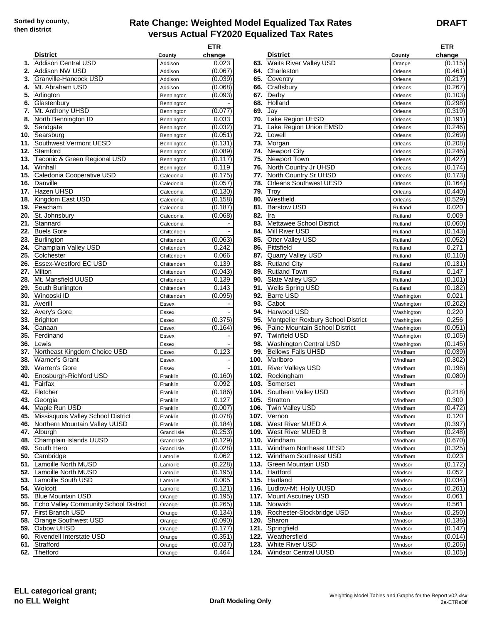## **Rate Change: Weighted Model Equalized Tax Rates versus Actual FY2020 Equalized Tax Rates**

**DRAFT**

|    |                                                                             |                   | ETR              |      |                                       |                          | <b>ETR</b>       |
|----|-----------------------------------------------------------------------------|-------------------|------------------|------|---------------------------------------|--------------------------|------------------|
|    | <b>District</b>                                                             | County            | change           |      | <b>District</b>                       | County                   | change           |
|    | 1. Addison Central USD                                                      | Addison           | 0.023            |      | 63. Waits River Valley USD            | Orange                   | (0.115           |
|    | 2. Addison NW USD                                                           | Addison           | (0.067)          | 64.  | Charleston                            | Orleans                  | (0.461           |
|    | 3. Granville-Hancock USD                                                    | Addison           | (0.039)          | 65.  | Coventry                              | Orleans                  | (0.217)          |
| 4. | Mt. Abraham USD                                                             | Addison           | (0.068)          | 66.  | Craftsbury                            | Orleans                  | (0.267)          |
|    | 5. Arlington                                                                | Bennington        | (0.093)          | 67.  | Derby                                 | Orleans                  | (0.103           |
|    | 6. Glastenbury                                                              | Bennington        |                  | 68.  | Holland                               | Orleans                  | (0.298           |
|    | 7. Mt. Anthony UHSD                                                         | Bennington        | (0.077)          | 69.  | Jay                                   | Orleans                  | (0.319)          |
| 8. | North Bennington ID                                                         | Bennington        | 0.033            | 70.  | Lake Region UHSD                      | Orleans                  | (0.191)          |
|    | 9. Sandgate                                                                 | Bennington        | (0.032)          | 71.  | Lake Region Union EMSD                | Orleans                  | (0.246)          |
|    | 10. Searsburg                                                               | Bennington        | (0.051)          | 72.  | Lowell                                | Orleans                  | (0.269)          |
|    | 11. Southwest Vermont UESD                                                  | Bennington        | (0.131)          | 73.  | Morgan                                | Orleans                  | (0.208           |
|    | 12. Stamford                                                                | Bennington        | (0.089)          | 74.  | <b>Newport City</b>                   | Orleans                  | (0.246)          |
|    | 13. Taconic & Green Regional USD                                            | Bennington        | (0.117)          | 75.  | Newport Town                          | Orleans                  | (0.427)          |
|    | 14. Winhall                                                                 | Bennington        | 0.119            |      | 76. North Country Jr UHSD             | Orleans                  | (0.174)          |
|    | 15. Caledonia Cooperative USD                                               | Caledonia         | (0.175)          | 77.  | North Country Sr UHSD                 | Orleans                  | (0.173)          |
|    | 16. Danville                                                                | Caledonia         | (0.057)          | 78.  | <b>Orleans Southwest UESD</b>         | Orleans                  | (0.164           |
|    | 17. Hazen UHSD                                                              | Caledonia         | (0.130)          | 79.  | Troy                                  | Orleans                  | (0.440)          |
|    | 18. Kingdom East USD                                                        | Caledonia         | (0.158)          | 80.  | Westfield                             | Orleans                  | (0.529)          |
|    | 19. Peacham                                                                 | Caledonia         | (0.187)          | 81.  | <b>Barstow USD</b>                    | Rutland                  | 0.020            |
|    | 20. St. Johnsbury                                                           | Caledonia         | (0.068)          | 82.  | Ira                                   | Rutland                  | 0.009            |
|    | 21. Stannard                                                                | Caledonia         |                  | 83.  | <b>Mettawee School District</b>       | Rutland                  | (0.060           |
|    | 22. Buels Gore                                                              | Chittenden        |                  | 84.  | Mill River USD                        | Rutland                  | (0.143           |
|    | 23. Burlington                                                              | Chittenden        | (0.063)          | 85.  | Otter Valley USD                      | Rutland                  | (0.052)          |
|    | 24. Champlain Valley USD                                                    | Chittenden        | 0.242            | 86.  | Pittsfield                            | Rutland                  | 0.271            |
|    | 25. Colchester                                                              | Chittenden        | 0.066            | 87.  | Quarry Valley USD                     | Rutland                  | (0.110)          |
|    | 26. Essex-Westford EC USD                                                   | Chittenden        | 0.139            | 88.  | <b>Rutland City</b>                   | Rutland                  | (0.131           |
|    | 27. Milton                                                                  | Chittenden        | (0.043)          | 89.  | <b>Rutland Town</b>                   | Rutland                  | 0.147            |
|    | 28. Mt. Mansfield UUSD                                                      | Chittenden        | 0.139            | 90.  | Slate Valley USD                      | Rutland                  | (0.101           |
|    | 29. South Burlington                                                        | Chittenden        | 0.143            |      | 91. Wells Spring USD                  | Rutland                  | (0.182)          |
|    | 30. Winooski ID                                                             | Chittenden        | (0.095)          | 92.  | <b>Barre USD</b>                      | Washington               | 0.021            |
|    | <b>31.</b> Averill                                                          | <b>Essex</b>      |                  | 93.  | Cabot                                 | Washington               | (0.202           |
|    | 32. Avery's Gore                                                            | Essex             |                  | 94.  | Harwood USD                           | Washington               | 0.220            |
|    | 33. Brighton                                                                | Essex             | (0.375)          | 95.  | Montpelier Roxbury School District    | Washington               | 0.256            |
|    | 34. Canaan                                                                  | Essex             | (0.164)          | 96.  | Paine Mountain School District        | Washington               | (0.051           |
|    | 35. Ferdinand                                                               | Essex             |                  | 97.  | <b>Twinfield USD</b>                  |                          | (0.105           |
|    | <b>36.</b> Lewis                                                            | <b>Essex</b>      |                  | 98.  | Washington Central USD                | Washington<br>Washington | (0.145           |
|    | 37. Northeast Kingdom Choice USD                                            |                   | 0.123            | 99.  | <b>Bellows Falls UHSD</b>             |                          | (0.039           |
|    | 38. Warner's Grant                                                          | <b>Essex</b>      |                  | 100. | Marlboro                              | Windham<br>Windham       | (0.302)          |
|    | 39. Warren's Gore                                                           | Essex             |                  |      | 101. River Valleys USD                |                          | (0.196)          |
|    | 40. Enosburgh-Richford USD                                                  | Essex<br>Franklin | (0.160)          | 102. | Rockingham                            | Windham                  | (0.080)          |
|    | 41. Fairfax                                                                 |                   | 0.092            | 103. | Somerset                              | Windham<br>Windham       |                  |
|    | 42. Fletcher                                                                | Franklin          |                  |      | 104. Southern Valley USD              |                          | (0.218)          |
|    |                                                                             | Franklin          | (0.186)          |      |                                       | Windham                  |                  |
|    | <b>43.</b> Georgia<br>44. Maple Run USD                                     | Franklin          | 0.127<br>(0.007) |      | 105. Stratton<br>106. Twin Valley USD | Windham                  | 0.300<br>(0.472) |
|    |                                                                             | Franklin          |                  |      | 107. $Vernon$                         | Windham                  |                  |
|    | 45. Missisquois Valley School District<br>46. Northern Mountain Valley UUSD | Franklin          | (0.078)          |      | 108. West River MUED A                | Windham                  | 0.120<br>(0.397  |
|    |                                                                             | Franklin          | (0.184)          |      |                                       | Windham                  |                  |
|    | <b>47.</b> Alburah                                                          | Grand Isle        | (0.253)          |      | 109. West River MUED B                | Windham                  | (0.248           |
|    | 48. Champlain Islands UUSD                                                  | Grand Isle        | (0.129)          |      | 110. Windham                          | Windham                  | (0.670)          |
|    | 49. South Hero                                                              | Grand Isle        | (0.028)          |      | 111. Windham Northeast UESD           | Windham                  | (0.325)          |
|    | 50. Cambridge                                                               | Lamoille          | 0.062            |      | 112. Windham Southeast USD            | Windham                  | 0.023            |
|    | 51. Lamoille North MUSD                                                     | Lamoille          | (0.228)          |      | 113. Green Mountain USD               | Windsor                  | (0.172           |
|    | 52. Lamoille North MUSD                                                     | Lamoille          | (0.195)          |      | 114. Hartford                         | Windsor                  | 0.052            |
|    | 53. Lamoille South USD                                                      | Lamoille          | 0.005            |      | 115. Hartland                         | Windsor                  | (0.034)          |
|    | 54. Wolcott                                                                 | Lamoille          | (0.121)          |      | 116. Ludlow-Mt. Holly UUSD            | Windsor                  | (0.261)          |
|    | 55. Blue Mountain USD                                                       | Orange            | (0.195)          |      | 117. Mount Ascutney USD               | Windsor                  | 0.061            |
|    | 56. Echo Valley Community School District                                   | Orange            | (0.265)          |      | 118. Norwich                          | Windsor                  | 0.561            |
|    | 57. First Branch USD                                                        | Orange            | (0.134)          |      | 119. Rochester-Stockbridge USD        | Windsor                  | (0.250           |
|    | 58. Orange Southwest USD                                                    | Orange            | (0.090)          |      | 120. Sharon                           | Windsor                  | (0.136           |
|    | 59. Oxbow UHSD                                                              | Orange            | (0.177)          |      | 121. Springfield                      | Windsor                  | (0.147           |
|    | 60. Rivendell Interstate USD                                                | Orange            | (0.351)          |      | 122. Weathersfield                    | Windsor                  | (0.014           |
|    | 61. Strafford                                                               | Orange            | (0.037)          |      | 123. White River USD                  | Windsor                  | (0.206           |
|    | 62. Thetford                                                                | Orange            | 0.464            |      | 124. Windsor Central UUSD             | Windsor                  | (0.105)          |

|     |                                            |                          | <b>ETR</b>         |            |                                                                      |                          | ETR                |
|-----|--------------------------------------------|--------------------------|--------------------|------------|----------------------------------------------------------------------|--------------------------|--------------------|
|     | <b>District</b>                            | County                   | change             |            | <b>District</b>                                                      | County                   | change             |
|     | 1. Addison Central USD                     | Addison                  | 0.023              | 63.        | Waits River Valley USD                                               | Orange                   | (0.115)            |
| 2.  | Addison NW USD                             | Addison                  | (0.067)            | 64.        | Charleston                                                           | Orleans                  | (0.461)            |
|     | 3. Granville-Hancock USD                   | Addison                  | (0.039)            | 65.        | Coventry                                                             | Orleans                  | (0.217)            |
| 4.  | Mt. Abraham USD                            | Addison                  | (0.068)            | 66.        | Craftsbury                                                           | Orleans                  | (0.267)            |
|     | 5. Arlington                               | Bennington               | (0.093)            | 67.        | Derby                                                                | Orleans                  | (0.103)            |
|     | 6. Glastenbury                             | Bennington               |                    | 68.        | Holland                                                              | Orleans                  | (0.298)            |
| 7.  | Mt. Anthony UHSD                           | Bennington               | (0.077)            | 69.        | Jay                                                                  | Orleans                  | (0.319)            |
| 8.  | North Bennington ID                        | Bennington               | 0.033              | 70.        | Lake Region UHSD                                                     | Orleans                  | (0.191)            |
| 9.  | Sandgate                                   | Bennington               | (0.032)<br>(0.051) | 71.<br>72. | Lake Region Union EMSD<br>Lowell                                     | Orleans                  | (0.246)            |
| 11. | 10. Searsburg<br>Southwest Vermont UESD    | Bennington<br>Bennington | (0.131)            | 73.        | Morgan                                                               | Orleans<br>Orleans       | (0.269)<br>(0.208) |
| 12. | Stamford                                   | Bennington               | (0.089)            | 74.        | Newport City                                                         | Orleans                  | (0.246)            |
|     | 13. Taconic & Green Regional USD           | Bennington               | (0.117)            | 75.        | Newport Town                                                         | Orleans                  | (0.427)            |
|     | 14. Winhall                                | Bennington               | 0.119              | 76.        | North Country Jr UHSD                                                | Orleans                  | (0.174)            |
|     | 15. Caledonia Cooperative USD              | Caledonia                | (0.175)            | 77.        | North Country Sr UHSD                                                | Orleans                  | (0.173)            |
|     | 16. Danville                               | Caledonia                | (0.057)            | 78.        | <b>Orleans Southwest UESD</b>                                        | Orleans                  | (0.164)            |
|     | 17. Hazen UHSD                             | Caledonia                | (0.130)            | 79.        | Troy                                                                 | Orleans                  | (0.440)            |
|     | 18. Kingdom East USD                       | Caledonia                | (0.158)            | 80.        | Westfield                                                            | Orleans                  | (0.529)            |
|     | 19. Peacham                                | Caledonia                | (0.187)            | 81.        | <b>Barstow USD</b>                                                   | Rutland                  | 0.020              |
|     | 20. St. Johnsbury                          | Caledonia                | (0.068)            | 82.        | Ira                                                                  | Rutland                  | 0.009              |
|     | 21. Stannard                               | Caledonia                |                    | 83.        | <b>Mettawee School District</b>                                      | Rutland                  | (0.060)            |
|     | 22. Buels Gore                             | Chittenden               |                    | 84.        | Mill River USD                                                       | Rutland                  | (0.143)            |
|     | 23. Burlington                             | Chittenden               | (0.063)            | 85.        | Otter Valley USD                                                     | Rutland                  | (0.052)            |
|     | 24. Champlain Valley USD                   | Chittenden               | 0.242              | 86.        | Pittsfield                                                           | Rutland                  | 0.271              |
|     | 25. Colchester                             | Chittenden               | 0.066              | 87.        | Quarry Valley USD                                                    | Rutland                  | (0.110)            |
|     | 26. Essex-Westford EC USD                  | Chittenden               | 0.139              | 88.        | Rutland City                                                         | Rutland                  | (0.131)            |
|     | 27. Milton                                 | Chittenden               | (0.043)            | 89.        | <b>Rutland Town</b>                                                  | Rutland                  | 0.147              |
| 28. | Mt. Mansfield UUSD                         | Chittenden               | 0.139              | 90.        | Slate Valley USD                                                     | Rutland                  | (0.101)            |
| 29. | South Burlington                           | Chittenden               | 0.143              | 91.        | <b>Wells Spring USD</b>                                              | Rutland                  | (0.182)            |
|     | 30. Winooski ID                            | Chittenden               | (0.095)            | 92.        | <b>Barre USD</b>                                                     | Washington               | 0.021              |
|     | <b>31.</b> Averill                         | Essex                    |                    | 93.        | Cabot                                                                | Washington               | (0.202)            |
|     | 32. Avery's Gore                           | Essex                    |                    | 94.        | Harwood USD                                                          | Washington               | 0.220              |
|     | 33. Brighton                               | Essex                    | (0.375)            | 95.        | Montpelier Roxbury School District<br>Paine Mountain School District | Washington               | 0.256<br>(0.051)   |
|     | 34. Canaan<br>35. Ferdinand                | Essex<br>Essex           | (0.164)            | 96.<br>97. | <b>Twinfield USD</b>                                                 | Washington               | (0.105)            |
|     | <b>36.</b> Lewis                           | Essex                    |                    | 98.        | <b>Washington Central USD</b>                                        | Washington<br>Washington | (0.145)            |
|     | 37. Northeast Kingdom Choice USD           | Essex                    | 0.123              | 99.        | <b>Bellows Falls UHSD</b>                                            | Windham                  | (0.039)            |
|     | 38. Warner's Grant                         | Essex                    |                    | 100.       | Marlboro                                                             | Windham                  | (0.302)            |
|     | 39. Warren's Gore                          | Essex                    |                    | 101.       | <b>River Valleys USD</b>                                             | Windham                  | (0.196)            |
|     | 40. Enosburgh-Richford USD                 | Franklin                 | (0.160)            | 102.       | Rockingham                                                           | Windham                  | (0.080)            |
|     | 41. Fairfax                                | Franklin                 | 0.092              | 103.       | Somerset                                                             | Windham                  |                    |
|     | 42. Fletcher                               | Franklin                 | (0.186)            |            | 104. Southern Valley USD                                             | Windham                  | (0.218)            |
|     | 43. Georgia                                | Franklin                 | 0.127              |            | 105. Stratton                                                        | Windham                  | 0.300              |
|     | 44. Maple Run USD                          | Franklin                 | (0.007)            |            | 106. Twin Valley USD                                                 | Windham                  | (0.472)            |
|     | 45. Missisquois Valley School District     | Franklin                 | (0.078)            |            | <b>107.</b> Vernon                                                   | Windham                  | 0.120              |
|     | 46. Northern Mountain Valley UUSD          | Franklin                 | (0.184)            |            | 108. West River MUED A                                               | Windham                  | (0.397)            |
|     | 47. Alburgh                                | Grand Isle               | (0.253)            |            | 109. West River MUED B                                               | Windham                  | (0.248)            |
|     | 48. Champlain Islands UUSD                 | Grand Isle               | (0.129)            |            | 110. Windham                                                         | Windham                  | (0.670)            |
|     | 49. South Hero                             | Grand Isle               | (0.028)            |            | 111. Windham Northeast UESD                                          | Windham                  | (0.325)            |
|     | 50. Cambridge                              | Lamoille                 | 0.062              |            | 112. Windham Southeast USD                                           | Windham                  | 0.023              |
|     | 51. Lamoille North MUSD                    | Lamoille                 | (0.228)            |            | 113. Green Mountain USD                                              | Windsor                  | (0.172)            |
|     | 52. Lamoille North MUSD                    | Lamoille                 | (0.195)            |            | 114. Hartford                                                        | Windsor                  | 0.052              |
|     | 53. Lamoille South USD                     | Lamoille                 | 0.005              |            | 115. Hartland                                                        | Windsor                  | (0.034)            |
|     | 54. Wolcott                                | Lamoille                 | (0.121)            |            | 116. Ludlow-Mt. Holly UUSD                                           | Windsor                  | (0.261)            |
|     | 55. Blue Mountain USD                      | Orange                   | (0.195)            |            | 117. Mount Ascutney USD                                              | Windsor                  | 0.061              |
|     | 56. Echo Valley Community School District  | Orange                   | (0.265)            |            | 118. Norwich                                                         | Windsor                  | 0.561              |
|     | 57. First Branch USD                       | Orange                   | (0.134)            |            | 119. Rochester-Stockbridge USD                                       | Windsor                  | (0.250)            |
|     | 58. Orange Southwest USD<br>59. Oxbow UHSD | Orange                   | (0.090)<br>(0.177) |            | 120. Sharon<br>121. Springfield                                      | Windsor                  | (0.136)            |
|     | 60. Rivendell Interstate USD               | Orange                   | (0.351)            |            | 122. Weathersfield                                                   | Windsor<br>Windsor       | (0.147)<br>(0.014) |
|     | 61. Strafford                              | Orange<br>Orange         | (0.037)            |            | 123. White River USD                                                 | Windsor                  | (0.206)            |
|     | 62. Thetford                               | Orange                   | 0.464              |            | 124. Windsor Central UUSD                                            | Windsor                  | (0.105)            |
|     |                                            |                          |                    |            |                                                                      |                          |                    |